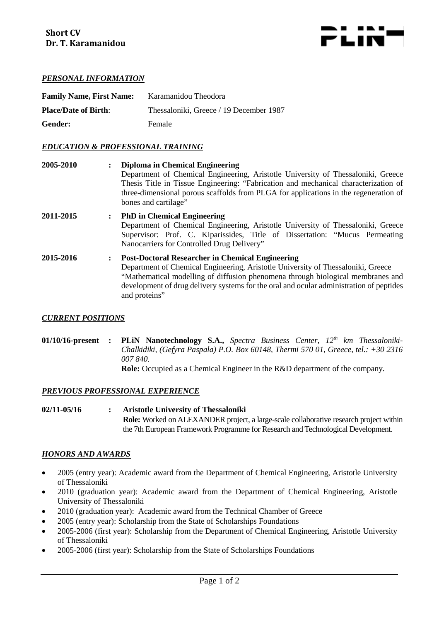

# *PERSONAL INFORMATION*

| <b>Family Name, First Name:</b> | Karamanidou Theodora                    |
|---------------------------------|-----------------------------------------|
| <b>Place/Date of Birth:</b>     | Thessaloniki, Greece / 19 December 1987 |
| Gender:                         | Female                                  |

## *EDUCATION & PROFESSIONAL TRAINING*

| 2005-2010 |                      | <b>Diploma in Chemical Engineering</b><br>Department of Chemical Engineering, Aristotle University of Thessaloniki, Greece<br>Thesis Title in Tissue Engineering: "Fabrication and mechanical characterization of<br>three-dimensional porous scaffolds from PLGA for applications in the regeneration of<br>bones and cartilage"          |
|-----------|----------------------|--------------------------------------------------------------------------------------------------------------------------------------------------------------------------------------------------------------------------------------------------------------------------------------------------------------------------------------------|
| 2011-2015 | $\ddot{\phantom{a}}$ | <b>PhD</b> in Chemical Engineering<br>Department of Chemical Engineering, Aristotle University of Thessaloniki, Greece<br>Supervisor: Prof. C. Kiparissides, Title of Dissertation: "Mucus Permeating<br>Nanocarriers for Controlled Drug Delivery"                                                                                        |
| 2015-2016 | $\ddot{\phantom{a}}$ | <b>Post-Doctoral Researcher in Chemical Engineering</b><br>Department of Chemical Engineering, Aristotle University of Thessaloniki, Greece<br>"Mathematical modelling of diffusion phenomena through biological membranes and<br>development of drug delivery systems for the oral and ocular administration of peptides<br>and proteins" |

#### *CURRENT POSITIONS*

**01/10/16-present : PLiN Nanotechnology S.A.,** *Spectra Business Center, 12th km Thessaloniki-Chalkidiki, (Gefyra Paspala) P.O. Box 60148, Thermi 570 01, Greece, tel.: +30 2316 007 840.* **Role:** Occupied as a Chemical Engineer in the R&D department of the company.

*PREVIOUS PROFESSIONAL EXPERIENCE*

**02/11-05/16 : Aristotle University of Thessaloniki Role:** Worked on ALEXANDER project, a large-scale collaborative research project within the 7th European Framework Programme for Research and Technological Development.

#### *HONORS AND AWARDS*

- 2005 (entry year): Academic award from the Department of Chemical Engineering, Aristotle University of Thessaloniki
- 2010 (graduation year): Academic award from the Department of Chemical Engineering, Aristotle University of Thessaloniki
- 2010 (graduation year): Academic award from the Technical Chamber of Greece
- 2005 (entry year): Scholarship from the State of Scholarships Foundations
- 2005-2006 (first year): Scholarship from the Department of Chemical Engineering, Aristotle University of Thessaloniki
- 2005-2006 (first year): Scholarship from the State of Scholarships Foundations